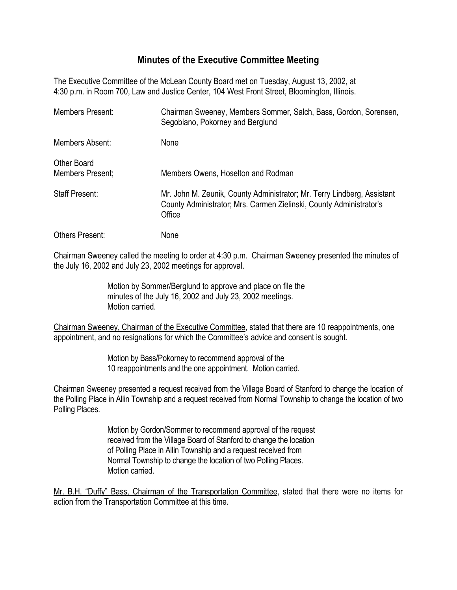## **Minutes of the Executive Committee Meeting**

The Executive Committee of the McLean County Board met on Tuesday, August 13, 2002, at 4:30 p.m. in Room 700, Law and Justice Center, 104 West Front Street, Bloomington, Illinois.

| Members Present:                       | Chairman Sweeney, Members Sommer, Salch, Bass, Gordon, Sorensen,<br>Segobiano, Pokorney and Berglund                                                     |
|----------------------------------------|----------------------------------------------------------------------------------------------------------------------------------------------------------|
| Members Absent:                        | None                                                                                                                                                     |
| <b>Other Board</b><br>Members Present; | Members Owens, Hoselton and Rodman                                                                                                                       |
| <b>Staff Present:</b>                  | Mr. John M. Zeunik, County Administrator; Mr. Terry Lindberg, Assistant<br>County Administrator; Mrs. Carmen Zielinski, County Administrator's<br>Office |
| <b>Others Present:</b>                 | None                                                                                                                                                     |

Chairman Sweeney called the meeting to order at 4:30 p.m. Chairman Sweeney presented the minutes of the July 16, 2002 and July 23, 2002 meetings for approval.

> Motion by Sommer/Berglund to approve and place on file the minutes of the July 16, 2002 and July 23, 2002 meetings. Motion carried.

Chairman Sweeney, Chairman of the Executive Committee, stated that there are 10 reappointments, one appointment, and no resignations for which the Committee's advice and consent is sought.

> Motion by Bass/Pokorney to recommend approval of the 10 reappointments and the one appointment. Motion carried.

Chairman Sweeney presented a request received from the Village Board of Stanford to change the location of the Polling Place in Allin Township and a request received from Normal Township to change the location of two Polling Places.

> Motion by Gordon/Sommer to recommend approval of the request received from the Village Board of Stanford to change the location of Polling Place in Allin Township and a request received from Normal Township to change the location of two Polling Places. Motion carried.

Mr. B.H. "Duffy" Bass, Chairman of the Transportation Committee, stated that there were no items for action from the Transportation Committee at this time.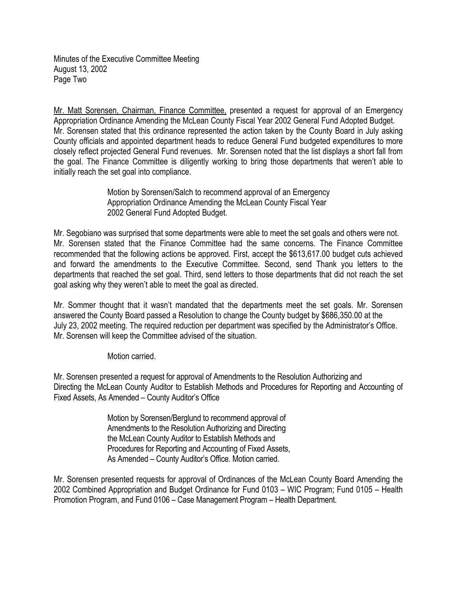Minutes of the Executive Committee Meeting August 13, 2002 Page Two

Mr. Matt Sorensen, Chairman, Finance Committee, presented a request for approval of an Emergency Appropriation Ordinance Amending the McLean County Fiscal Year 2002 General Fund Adopted Budget. Mr. Sorensen stated that this ordinance represented the action taken by the County Board in July asking County officials and appointed department heads to reduce General Fund budgeted expenditures to more closely reflect projected General Fund revenues. Mr. Sorensen noted that the list displays a short fall from the goal. The Finance Committee is diligently working to bring those departments that weren't able to initially reach the set goal into compliance.

> Motion by Sorensen/Salch to recommend approval of an Emergency Appropriation Ordinance Amending the McLean County Fiscal Year 2002 General Fund Adopted Budget.

Mr. Segobiano was surprised that some departments were able to meet the set goals and others were not. Mr. Sorensen stated that the Finance Committee had the same concerns. The Finance Committee recommended that the following actions be approved. First, accept the \$613,617.00 budget cuts achieved and forward the amendments to the Executive Committee. Second, send Thank you letters to the departments that reached the set goal. Third, send letters to those departments that did not reach the set goal asking why they weren't able to meet the goal as directed.

Mr. Sommer thought that it wasn't mandated that the departments meet the set goals. Mr. Sorensen answered the County Board passed a Resolution to change the County budget by \$686,350.00 at the July 23, 2002 meeting. The required reduction per department was specified by the Administrator's Office. Mr. Sorensen will keep the Committee advised of the situation.

Motion carried.

Mr. Sorensen presented a request for approval of Amendments to the Resolution Authorizing and Directing the McLean County Auditor to Establish Methods and Procedures for Reporting and Accounting of Fixed Assets, As Amended – County Auditor's Office

> Motion by Sorensen/Berglund to recommend approval of Amendments to the Resolution Authorizing and Directing the McLean County Auditor to Establish Methods and Procedures for Reporting and Accounting of Fixed Assets, As Amended – County Auditor's Office. Motion carried.

Mr. Sorensen presented requests for approval of Ordinances of the McLean County Board Amending the 2002 Combined Appropriation and Budget Ordinance for Fund 0103 – WIC Program; Fund 0105 – Health Promotion Program, and Fund 0106 – Case Management Program – Health Department.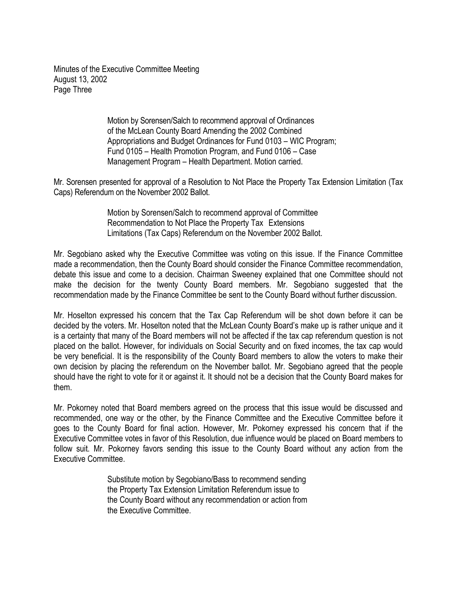Minutes of the Executive Committee Meeting August 13, 2002 Page Three

> Motion by Sorensen/Salch to recommend approval of Ordinances of the McLean County Board Amending the 2002 Combined Appropriations and Budget Ordinances for Fund 0103 – WIC Program; Fund 0105 – Health Promotion Program, and Fund 0106 – Case Management Program – Health Department. Motion carried.

Mr. Sorensen presented for approval of a Resolution to Not Place the Property Tax Extension Limitation (Tax Caps) Referendum on the November 2002 Ballot.

> Motion by Sorensen/Salch to recommend approval of Committee Recommendation to Not Place the Property Tax Extensions Limitations (Tax Caps) Referendum on the November 2002 Ballot.

Mr. Segobiano asked why the Executive Committee was voting on this issue. If the Finance Committee made a recommendation, then the County Board should consider the Finance Committee recommendation, debate this issue and come to a decision. Chairman Sweeney explained that one Committee should not make the decision for the twenty County Board members. Mr. Segobiano suggested that the recommendation made by the Finance Committee be sent to the County Board without further discussion.

Mr. Hoselton expressed his concern that the Tax Cap Referendum will be shot down before it can be decided by the voters. Mr. Hoselton noted that the McLean County Board's make up is rather unique and it is a certainty that many of the Board members will not be affected if the tax cap referendum question is not placed on the ballot. However, for individuals on Social Security and on fixed incomes, the tax cap would be very beneficial. It is the responsibility of the County Board members to allow the voters to make their own decision by placing the referendum on the November ballot. Mr. Segobiano agreed that the people should have the right to vote for it or against it. It should not be a decision that the County Board makes for them.

Mr. Pokorney noted that Board members agreed on the process that this issue would be discussed and recommended, one way or the other, by the Finance Committee and the Executive Committee before it goes to the County Board for final action. However, Mr. Pokorney expressed his concern that if the Executive Committee votes in favor of this Resolution, due influence would be placed on Board members to follow suit. Mr. Pokorney favors sending this issue to the County Board without any action from the Executive Committee.

> Substitute motion by Segobiano/Bass to recommend sending the Property Tax Extension Limitation Referendum issue to the County Board without any recommendation or action from the Executive Committee.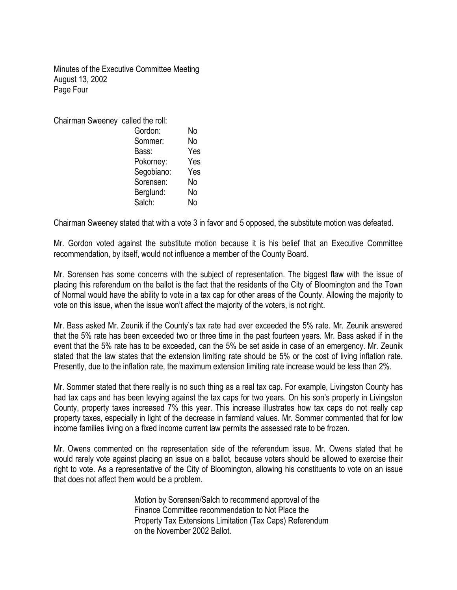Minutes of the Executive Committee Meeting August 13, 2002 Page Four

| Chairman Sweeney called the roll: |     |
|-----------------------------------|-----|
| Gordon:                           | No  |
| Sommer:                           | No  |
| Bass:                             | Yes |
| Pokorney:                         | Yes |
| Segobiano:                        | Yes |
| Sorensen:                         | No  |
| Berglund:                         | No  |
| Salch:                            | No  |
|                                   |     |

Chairman Sweeney stated that with a vote 3 in favor and 5 opposed, the substitute motion was defeated.

Mr. Gordon voted against the substitute motion because it is his belief that an Executive Committee recommendation, by itself, would not influence a member of the County Board.

Mr. Sorensen has some concerns with the subject of representation. The biggest flaw with the issue of placing this referendum on the ballot is the fact that the residents of the City of Bloomington and the Town of Normal would have the ability to vote in a tax cap for other areas of the County. Allowing the majority to vote on this issue, when the issue won't affect the majority of the voters, is not right.

Mr. Bass asked Mr. Zeunik if the County's tax rate had ever exceeded the 5% rate. Mr. Zeunik answered that the 5% rate has been exceeded two or three time in the past fourteen years. Mr. Bass asked if in the event that the 5% rate has to be exceeded, can the 5% be set aside in case of an emergency. Mr. Zeunik stated that the law states that the extension limiting rate should be 5% or the cost of living inflation rate. Presently, due to the inflation rate, the maximum extension limiting rate increase would be less than 2%.

Mr. Sommer stated that there really is no such thing as a real tax cap. For example, Livingston County has had tax caps and has been levying against the tax caps for two years. On his son's property in Livingston County, property taxes increased 7% this year. This increase illustrates how tax caps do not really cap property taxes, especially in light of the decrease in farmland values. Mr. Sommer commented that for low income families living on a fixed income current law permits the assessed rate to be frozen.

Mr. Owens commented on the representation side of the referendum issue. Mr. Owens stated that he would rarely vote against placing an issue on a ballot, because voters should be allowed to exercise their right to vote. As a representative of the City of Bloomington, allowing his constituents to vote on an issue that does not affect them would be a problem.

> Motion by Sorensen/Salch to recommend approval of the Finance Committee recommendation to Not Place the Property Tax Extensions Limitation (Tax Caps) Referendum on the November 2002 Ballot.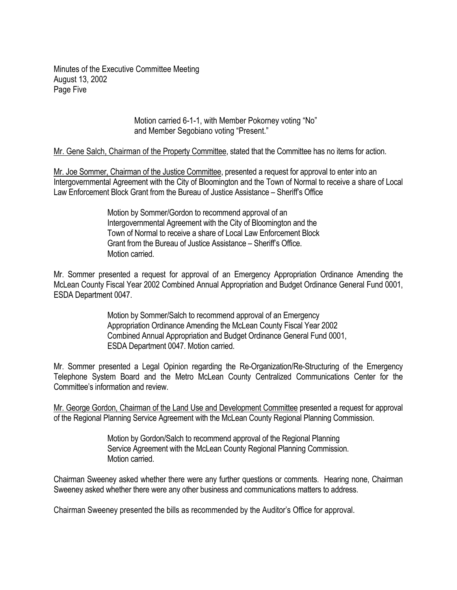Minutes of the Executive Committee Meeting August 13, 2002 Page Five

> Motion carried 6-1-1, with Member Pokorney voting "No" and Member Segobiano voting "Present."

Mr. Gene Salch, Chairman of the Property Committee, stated that the Committee has no items for action.

Mr. Joe Sommer, Chairman of the Justice Committee, presented a request for approval to enter into an Intergovernmental Agreement with the City of Bloomington and the Town of Normal to receive a share of Local Law Enforcement Block Grant from the Bureau of Justice Assistance – Sheriff's Office

> Motion by Sommer/Gordon to recommend approval of an Intergovernmental Agreement with the City of Bloomington and the Town of Normal to receive a share of Local Law Enforcement Block Grant from the Bureau of Justice Assistance – Sheriff's Office. Motion carried.

Mr. Sommer presented a request for approval of an Emergency Appropriation Ordinance Amending the McLean County Fiscal Year 2002 Combined Annual Appropriation and Budget Ordinance General Fund 0001, ESDA Department 0047.

> Motion by Sommer/Salch to recommend approval of an Emergency Appropriation Ordinance Amending the McLean County Fiscal Year 2002 Combined Annual Appropriation and Budget Ordinance General Fund 0001, ESDA Department 0047. Motion carried.

Mr. Sommer presented a Legal Opinion regarding the Re-Organization/Re-Structuring of the Emergency Telephone System Board and the Metro McLean County Centralized Communications Center for the Committee's information and review.

Mr. George Gordon, Chairman of the Land Use and Development Committee presented a request for approval of the Regional Planning Service Agreement with the McLean County Regional Planning Commission.

> Motion by Gordon/Salch to recommend approval of the Regional Planning Service Agreement with the McLean County Regional Planning Commission. Motion carried.

Chairman Sweeney asked whether there were any further questions or comments. Hearing none, Chairman Sweeney asked whether there were any other business and communications matters to address.

Chairman Sweeney presented the bills as recommended by the Auditor's Office for approval.